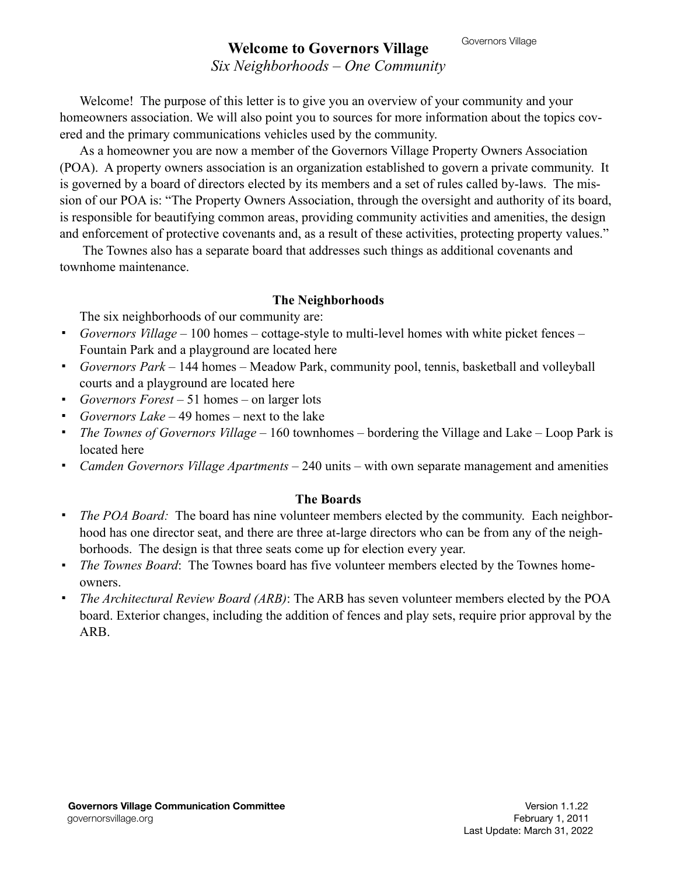# Governors Village **Welcome to Governors Village**

# *Six Neighborhoods – One Community*

Welcome! The purpose of this letter is to give you an overview of your community and your homeowners association. We will also point you to sources for more information about the topics covered and the primary communications vehicles used by the community.

As a homeowner you are now a member of the Governors Village Property Owners Association (POA). A property owners association is an organization established to govern a private community. It is governed by a board of directors elected by its members and a set of rules called by-laws. The mission of our POA is: "The Property Owners Association, through the oversight and authority of its board, is responsible for beautifying common areas, providing community activities and amenities, the design and enforcement of protective covenants and, as a result of these activities, protecting property values."

 The Townes also has a separate board that addresses such things as additional covenants and townhome maintenance.

#### **The Neighborhoods**

The six neighborhoods of our community are:

- ! *Governors Village* 100 homes cottage-style to multi-level homes with white picket fences Fountain Park and a playground are located here
- ! *Governors Park* 144 homes Meadow Park, community pool, tennis, basketball and volleyball courts and a playground are located here
- ! *Governors Forest*  51 homes on larger lots
- ! *Governors Lake*  49 homes next to the lake
- ! *The Townes of Governors Village* 160 townhomes bordering the Village and Lake Loop Park is located here
- ! *Camden Governors Village Apartments*  240 units with own separate management and amenities

### **The Boards**

- ! *The POA Board:* The board has nine volunteer members elected by the community. Each neighborhood has one director seat, and there are three at-large directors who can be from any of the neighborhoods. The design is that three seats come up for election every year.
- ! *The Townes Board*: The Townes board has five volunteer members elected by the Townes homeowners.
- ! *The Architectural Review Board (ARB)*: The ARB has seven volunteer members elected by the POA board. Exterior changes, including the addition of fences and play sets, require prior approval by the ARB.